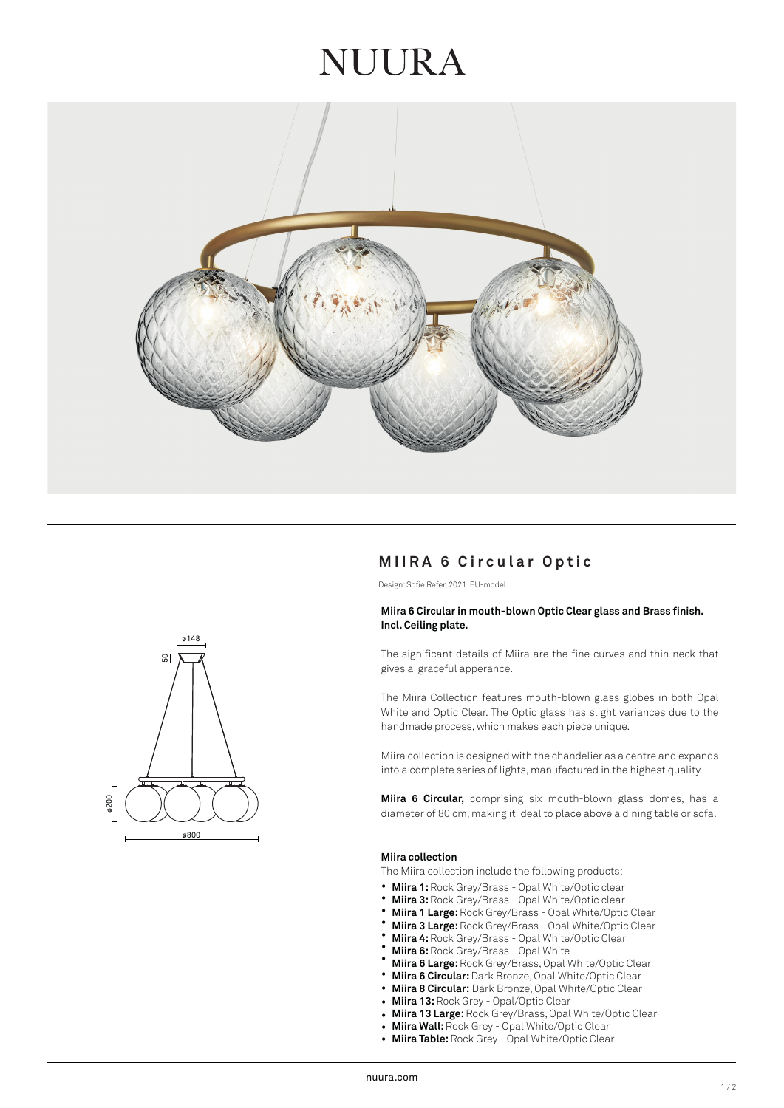## NUIRA



### **MIIRA 6 Circular Optic**

Design: Sofie Refer, 2021. EU-model.

#### **Miira 6 Circular in mouth-blown Optic Clear glass and Brass finish. Incl. Ceiling plate.**

The significant details of Miira are the fine curves and thin neck that gives a graceful apperance.

The Miira Collection features mouth-blown glass globes in both Opal White and Optic Clear. The Optic glass has slight variances due to the handmade process, which makes each piece unique.

Miira collection is designed with the chandelier as a centre and expands into a complete series of lights, manufactured in the highest quality.

**Miira 6 Circular,** comprising six mouth-blown glass domes, has a diameter of 80 cm, making it ideal to place above a dining table or sofa.

#### **Miira collection**

The Miira collection include the following products:

- **Miira 1:** Rock Grey/Brass Opal White/Optic clear •
- **Miira 3:** Rock Grey/Brass Opal White/Optic clear •
- **Miira 1 Large:** Rock Grey/Brass Opal White/Optic Clear •
- **Miira 3 Large:** Rock Grey/Brass Opal White/Optic Clear •
- **Miira 4:** Rock Grey/Brass Opal White/Optic Clear •
- **Miira 6:** Rock Grey/Brass Opal White •
- **Miira 6 Large:** Rock Grey/Brass, Opal White/Optic Clear •
- **Miira 6 Circular:** Dark Bronze, Opal White/Optic Clear •
- **Miira 8 Circular:** Dark Bronze, Opal White/Optic Clear •
- **Miira 13:** Rock Grey - Opal/Optic Clear
- **Miira 13 Large:** Rock Grey/Brass, Opal White/Optic Clear •
- **Miira Wall:** Rock Grey Opal White/Optic Clear •
- **Miira Table:** Rock Grey Opal White/Optic Clear •